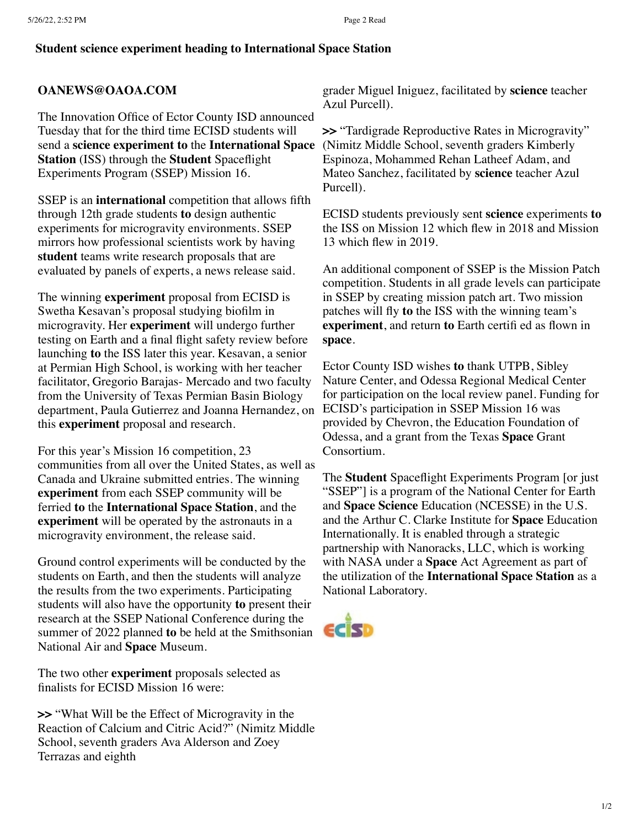## **Student science experiment heading to International Space Station**

## **OANEWS@OAOA.COM**

The Innovation Office of Ector County ISD announced Tuesday that for the third time ECISD students will send a **science experiment to** the **International Space Station** (ISS) through the **Student** Spaceflight Experiments Program (SSEP) Mission 16.

SSEP is an **international** competition that allows fifth through 12th grade students **to** design authentic experiments for microgravity environments. SSEP mirrors how professional scientists work by having **student** teams write research proposals that are evaluated by panels of experts, a news release said.

The winning **experiment** proposal from ECISD is Swetha Kesavan's proposal studying biofilm in microgravity. Her **experiment** will undergo further testing on Earth and a final flight safety review before launching **to** the ISS later this year. Kesavan, a senior at Permian High School, is working with her teacher facilitator, Gregorio Barajas- Mercado and two faculty from the University of Texas Permian Basin Biology department, Paula Gutierrez and Joanna Hernandez, on this **experiment** proposal and research.

For this year's Mission 16 competition, 23 communities from all over the United States, as well as Canada and Ukraine submitted entries. The winning **experiment** from each SSEP community will be ferried **to** the **International Space Station**, and the **experiment** will be operated by the astronauts in a microgravity environment, the release said.

Ground control experiments will be conducted by the students on Earth, and then the students will analyze the results from the two experiments. Participating students will also have the opportunity **to** present their research at the SSEP National Conference during the summer of 2022 planned **to** be held at the Smithsonian National Air and **Space** Museum.

The two other **experiment** proposals selected as finalists for ECISD Mission 16 were:

**>>** "What Will be the Effect of Microgravity in the Reaction of Calcium and Citric Acid?" (Nimitz Middle School, seventh graders Ava Alderson and Zoey Terrazas and eighth

grader Miguel Iniguez, facilitated by **science** teacher Azul Purcell).

**>>** "Tardigrade Reproductive Rates in Microgravity" (Nimitz Middle School, seventh graders Kimberly Espinoza, Mohammed Rehan Latheef Adam, and Mateo Sanchez, facilitated by **science** teacher Azul Purcell).

ECISD students previously sent **science** experiments **to** the ISS on Mission 12 which flew in 2018 and Mission 13 which flew in 2019.

An additional component of SSEP is the Mission Patch competition. Students in all grade levels can participate in SSEP by creating mission patch art. Two mission patches will fly **to** the ISS with the winning team's **experiment**, and return **to** Earth certifi ed as flown in **space**.

Ector County ISD wishes **to** thank UTPB, Sibley Nature Center, and Odessa Regional Medical Center for participation on the local review panel. Funding for ECISD's participation in SSEP Mission 16 was provided by Chevron, the Education Foundation of Odessa, and a grant from the Texas **Space** Grant Consortium.

The **Student** Spaceflight Experiments Program [or just "SSEP"] is a program of the National Center for Earth and **Space Science** Education (NCESSE) in the U.S. and the Arthur C. Clarke Institute for **Space** Education Internationally. It is enabled through a strategic partnership with Nanoracks, LLC, which is working with NASA under a **Space** Act Agreement as part of the utilization of the **International Space Station** as a National Laboratory.